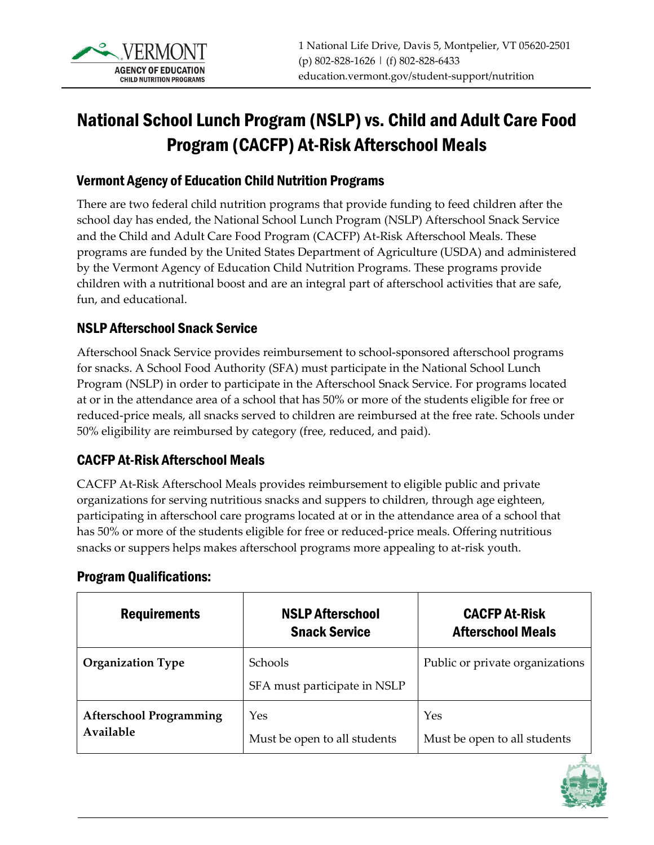

# National School Lunch Program (NSLP) vs. Child and Adult Care Food Program (CACFP) At-Risk Afterschool Meals

#### Vermont Agency of Education Child Nutrition Programs

There are two federal child nutrition programs that provide funding to feed children after the school day has ended, the National School Lunch Program (NSLP) Afterschool Snack Service and the Child and Adult Care Food Program (CACFP) At-Risk Afterschool Meals. These programs are funded by the United States Department of Agriculture (USDA) and administered by the Vermont Agency of Education Child Nutrition Programs. These programs provide children with a nutritional boost and are an integral part of afterschool activities that are safe, fun, and educational.

#### NSLP Afterschool Snack Service

Afterschool Snack Service provides reimbursement to school-sponsored afterschool programs for snacks. A School Food Authority (SFA) must participate in the National School Lunch Program (NSLP) in order to participate in the Afterschool Snack Service. For programs located at or in the attendance area of a school that has 50% or more of the students eligible for free or reduced-price meals, all snacks served to children are reimbursed at the free rate. Schools under 50% eligibility are reimbursed by category (free, reduced, and paid).

#### CACFP At-Risk Afterschool Meals

CACFP At-Risk Afterschool Meals provides reimbursement to eligible public and private organizations for serving nutritious snacks and suppers to children, through age eighteen, participating in afterschool care programs located at or in the attendance area of a school that has 50% or more of the students eligible for free or reduced-price meals. Offering nutritious snacks or suppers helps makes afterschool programs more appealing to at-risk youth.

#### Program Qualifications:

| <b>Requirements</b>                         | <b>NSLP Afterschool</b><br><b>Snack Service</b> | <b>CACFP At-Risk</b><br><b>Afterschool Meals</b> |
|---------------------------------------------|-------------------------------------------------|--------------------------------------------------|
| <b>Organization Type</b>                    | <b>Schools</b><br>SFA must participate in NSLP  | Public or private organizations                  |
| <b>Afterschool Programming</b><br>Available | Yes<br>Must be open to all students             | Yes<br>Must be open to all students              |

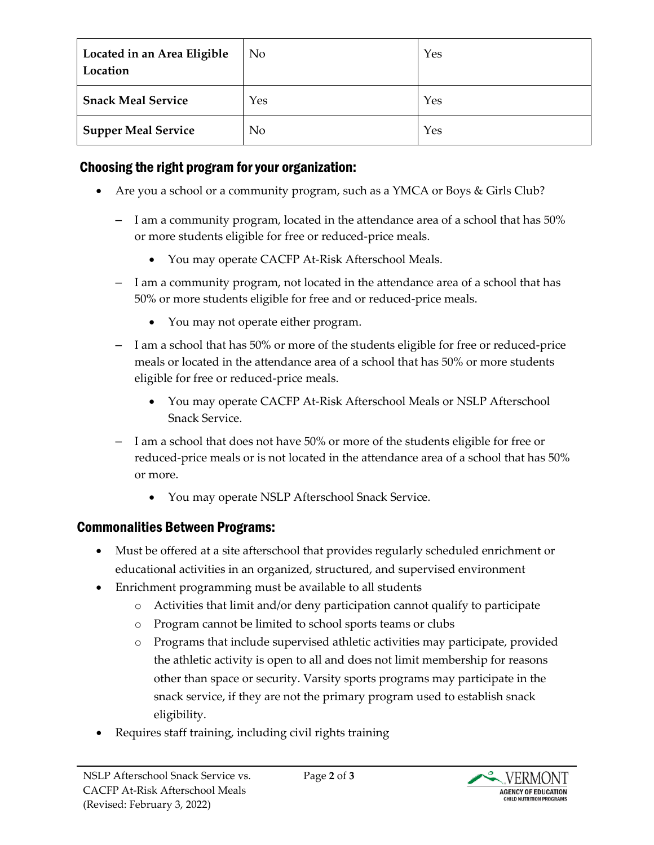| Located in an Area Eligible<br>Location | N <sub>o</sub> | Yes |
|-----------------------------------------|----------------|-----|
| <b>Snack Meal Service</b>               | Yes            | Yes |
| <b>Supper Meal Service</b>              | No             | Yes |

## Choosing the right program for your organization:

- Are you a school or a community program, such as a YMCA or Boys & Girls Club?
	- I am a community program, located in the attendance area of a school that has 50% or more students eligible for free or reduced-price meals.
		- You may operate CACFP At-Risk Afterschool Meals.
	- I am a community program, not located in the attendance area of a school that has 50% or more students eligible for free and or reduced-price meals.
		- You may not operate either program.
	- I am a school that has 50% or more of the students eligible for free or reduced-price meals or located in the attendance area of a school that has 50% or more students eligible for free or reduced-price meals.
		- You may operate CACFP At-Risk Afterschool Meals or NSLP Afterschool Snack Service.
	- I am a school that does not have 50% or more of the students eligible for free or reduced-price meals or is not located in the attendance area of a school that has 50% or more.
		- You may operate NSLP Afterschool Snack Service.

## Commonalities Between Programs:

- Must be offered at a site afterschool that provides regularly scheduled enrichment or educational activities in an organized, structured, and supervised environment
- Enrichment programming must be available to all students
	- o Activities that limit and/or deny participation cannot qualify to participate
	- o Program cannot be limited to school sports teams or clubs
	- o Programs that include supervised athletic activities may participate, provided the athletic activity is open to all and does not limit membership for reasons other than space or security. Varsity sports programs may participate in the snack service, if they are not the primary program used to establish snack eligibility.
- Requires staff training, including civil rights training